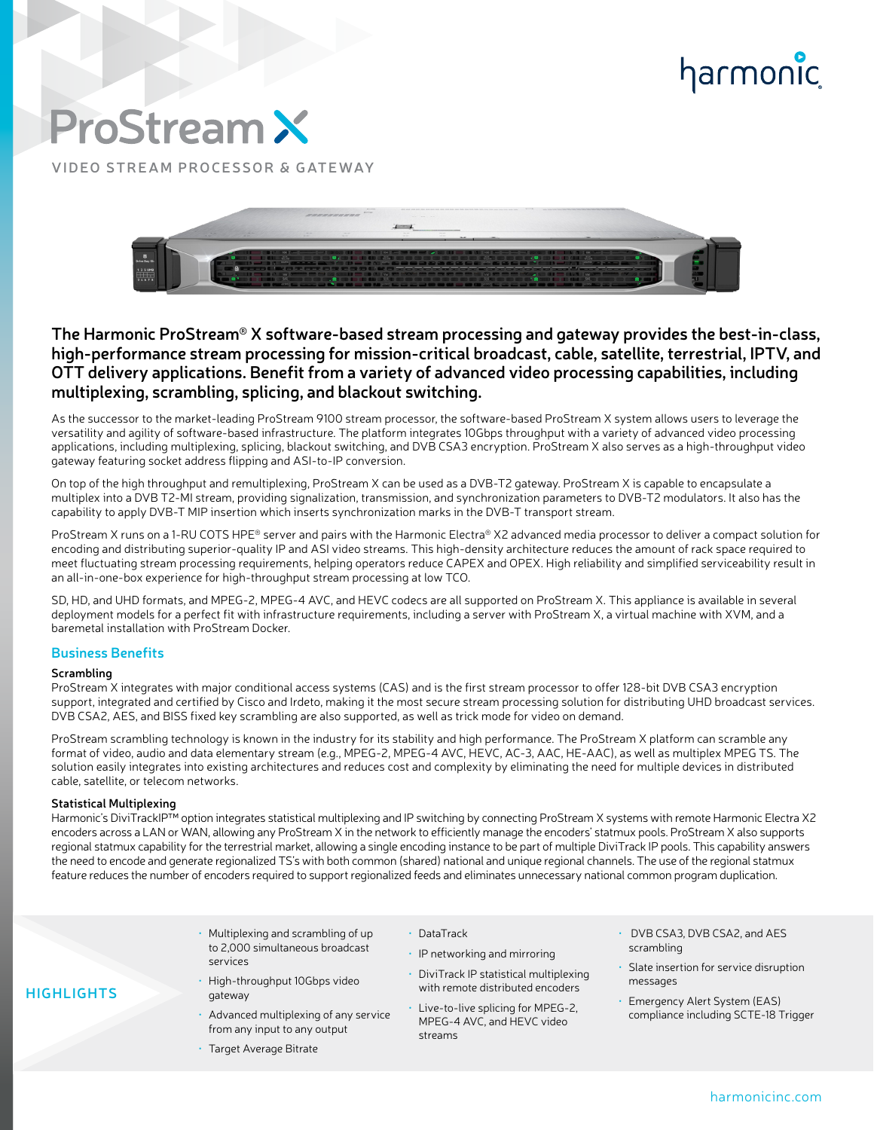# harmonic

# **ProStream X**

**VIDEO STREAM PROCESSOR & GATEWAY**



### **The Harmonic ProStream® X software-based stream processing and gateway provides the best-in-class, high-performance stream processing for mission-critical broadcast, cable, satellite, terrestrial, IPTV, and OTT delivery applications. Benefit from a variety of advanced video processing capabilities, including multiplexing, scrambling, splicing, and blackout switching.**

As the successor to the market-leading ProStream 9100 stream processor, the software-based ProStream X system allows users to leverage the versatility and agility of software-based infrastructure. The platform integrates 10Gbps throughput with a variety of advanced video processing applications, including multiplexing, splicing, blackout switching, and DVB CSA3 encryption. ProStream X also serves as a high-throughput video gateway featuring socket address flipping and ASI-to-IP conversion.

On top of the high throughput and remultiplexing, ProStream X can be used as a DVB-T2 gateway. ProStream X is capable to encapsulate a multiplex into a DVB T2-MI stream, providing signalization, transmission, and synchronization parameters to DVB-T2 modulators. It also has the capability to apply DVB-T MIP insertion which inserts synchronization marks in the DVB-T transport stream.

ProStream X runs on a 1-RU COTS HPE® server and pairs with the Harmonic Electra® X2 advanced media processor to deliver a compact solution for encoding and distributing superior-quality IP and ASI video streams. This high-density architecture reduces the amount of rack space required to meet fluctuating stream processing requirements, helping operators reduce CAPEX and OPEX. High reliability and simplified serviceability result in an all-in-one-box experience for high-throughput stream processing at low TCO.

SD, HD, and UHD formats, and MPEG-2, MPEG-4 AVC, and HEVC codecs are all supported on ProStream X. This appliance is available in several deployment models for a perfect fit with infrastructure requirements, including a server with ProStream X, a virtual machine with XVM, and a baremetal installation with ProStream Docker.

#### **Business Benefits**

#### **Scrambling**

**HIGHLIGHTS**

ProStream X integrates with major conditional access systems (CAS) and is the first stream processor to offer 128-bit DVB CSA3 encryption support, integrated and certified by Cisco and Irdeto, making it the most secure stream processing solution for distributing UHD broadcast services. DVB CSA2, AES, and BISS fixed key scrambling are also supported, as well as trick mode for video on demand.

ProStream scrambling technology is known in the industry for its stability and high performance. The ProStream X platform can scramble any format of video, audio and data elementary stream (e.g., MPEG-2, MPEG-4 AVC, HEVC, AC-3, AAC, HE-AAC), as well as multiplex MPEG TS. The solution easily integrates into existing architectures and reduces cost and complexity by eliminating the need for multiple devices in distributed cable, satellite, or telecom networks.

#### **Statistical Multiplexing**

Harmonic's DiviTrackIP™ option integrates statistical multiplexing and IP switching by connecting ProStream X systems with remote Harmonic Electra X2 encoders across a LAN or WAN, allowing any ProStream X in the network to efficiently manage the encoders' statmux pools. ProStream X also supports regional statmux capability for the terrestrial market, allowing a single encoding instance to be part of multiple DiviTrack IP pools. This capability answers the need to encode and generate regionalized TS's with both common (shared) national and unique regional channels. The use of the regional statmux feature reduces the number of encoders required to support regionalized feeds and eliminates unnecessary national common program duplication.

- Multiplexing and scrambling of up to 2,000 simultaneous broadcast services
	- High-throughput 10Gbps video gateway
- Advanced multiplexing of any service from any input to any output
- Target Average Bitrate
- DataTrack
- IP networking and mirroring
- DiviTrack IP statistical multiplexing with remote distributed encoders
- Live-to-live splicing for MPEG-2, MPEG-4 AVC, and HEVC video streams
- DVB CSA3, DVB CSA2, and AES scrambling
- Slate insertion for service disruption messages
- Emergency Alert System (EAS) compliance including SCTE-18 Trigger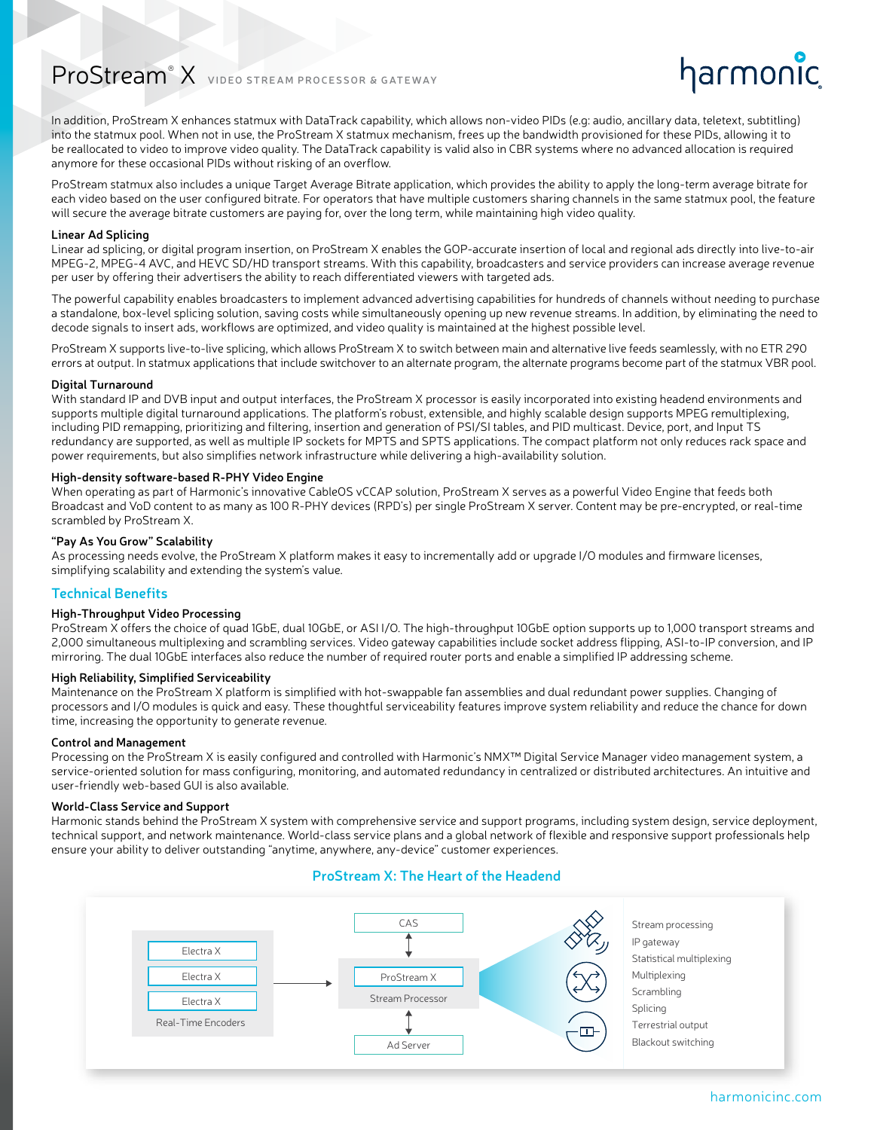## ProStream® X **VIDEO STREAM PROCESSOR & GATEWAY**

In addition, ProStream X enhances statmux with DataTrack capability, which allows non-video PIDs (e.g: audio, ancillary data, teletext, subtitling) into the statmux pool. When not in use, the ProStream X statmux mechanism, frees up the bandwidth provisioned for these PIDs, allowing it to be reallocated to video to improve video quality. The DataTrack capability is valid also in CBR systems where no advanced allocation is required anymore for these occasional PIDs without risking of an overflow.

ProStream statmux also includes a unique Target Average Bitrate application, which provides the ability to apply the long-term average bitrate for each video based on the user configured bitrate. For operators that have multiple customers sharing channels in the same statmux pool, the feature will secure the average bitrate customers are paying for, over the long term, while maintaining high video quality.

#### **Linear Ad Splicing**

Linear ad splicing, or digital program insertion, on ProStream X enables the GOP-accurate insertion of local and regional ads directly into live-to-air MPEG-2, MPEG-4 AVC, and HEVC SD/HD transport streams. With this capability, broadcasters and service providers can increase average revenue per user by offering their advertisers the ability to reach differentiated viewers with targeted ads.

The powerful capability enables broadcasters to implement advanced advertising capabilities for hundreds of channels without needing to purchase a standalone, box-level splicing solution, saving costs while simultaneously opening up new revenue streams. In addition, by eliminating the need to decode signals to insert ads, workflows are optimized, and video quality is maintained at the highest possible level.

ProStream X supports live-to-live splicing, which allows ProStream X to switch between main and alternative live feeds seamlessly, with no ETR 290 errors at output. In statmux applications that include switchover to an alternate program, the alternate programs become part of the statmux VBR pool.

#### **Digital Turnaround**

With standard IP and DVB input and output interfaces, the ProStream X processor is easily incorporated into existing headend environments and supports multiple digital turnaround applications. The platform's robust, extensible, and highly scalable design supports MPEG remultiplexing, including PID remapping, prioritizing and filtering, insertion and generation of PSI/SI tables, and PID multicast. Device, port, and Input TS redundancy are supported, as well as multiple IP sockets for MPTS and SPTS applications. The compact platform not only reduces rack space and power requirements, but also simplifies network infrastructure while delivering a high-availability solution.

#### **High-density software-based R-PHY Video Engine**

When operating as part of Harmonic's innovative CableOS vCCAP solution, ProStream X serves as a powerful Video Engine that feeds both Broadcast and VoD content to as many as 100 R-PHY devices (RPD's) per single ProStream X server. Content may be pre-encrypted, or real-time scrambled by ProStream X.

#### **"Pay As You Grow" Scalability**

As processing needs evolve, the ProStream X platform makes it easy to incrementally add or upgrade I/O modules and firmware licenses, simplifying scalability and extending the system's value.

#### **Technical Benefits**

#### **High-Throughput Video Processing**

ProStream X offers the choice of quad 1GbE, dual 10GbE, or ASI I/O. The high-throughput 10GbE option supports up to 1,000 transport streams and 2,000 simultaneous multiplexing and scrambling services. Video gateway capabilities include socket address flipping, ASI-to-IP conversion, and IP mirroring. The dual 10GbE interfaces also reduce the number of required router ports and enable a simplified IP addressing scheme.

#### **High Reliability, Simplified Serviceability**

Maintenance on the ProStream X platform is simplified with hot-swappable fan assemblies and dual redundant power supplies. Changing of processors and I/O modules is quick and easy. These thoughtful serviceability features improve system reliability and reduce the chance for down time, increasing the opportunity to generate revenue.

#### **Control and Management**

Processing on the ProStream X is easily configured and controlled with Harmonic's NMX<sup>™</sup> Digital Service Manager video management system, a service-oriented solution for mass configuring, monitoring, and automated redundancy in centralized or distributed architectures. An intuitive and user-friendly web-based GUI is also available.

#### **World-Class Service and Support**

Harmonic stands behind the ProStream X system with comprehensive service and support programs, including system design, service deployment, technical support, and network maintenance. World-class service plans and a global network of flexible and responsive support professionals help ensure your ability to deliver outstanding "anytime, anywhere, any-device" customer experiences.

#### **ProStream X: The Heart of the Headend**



harmonic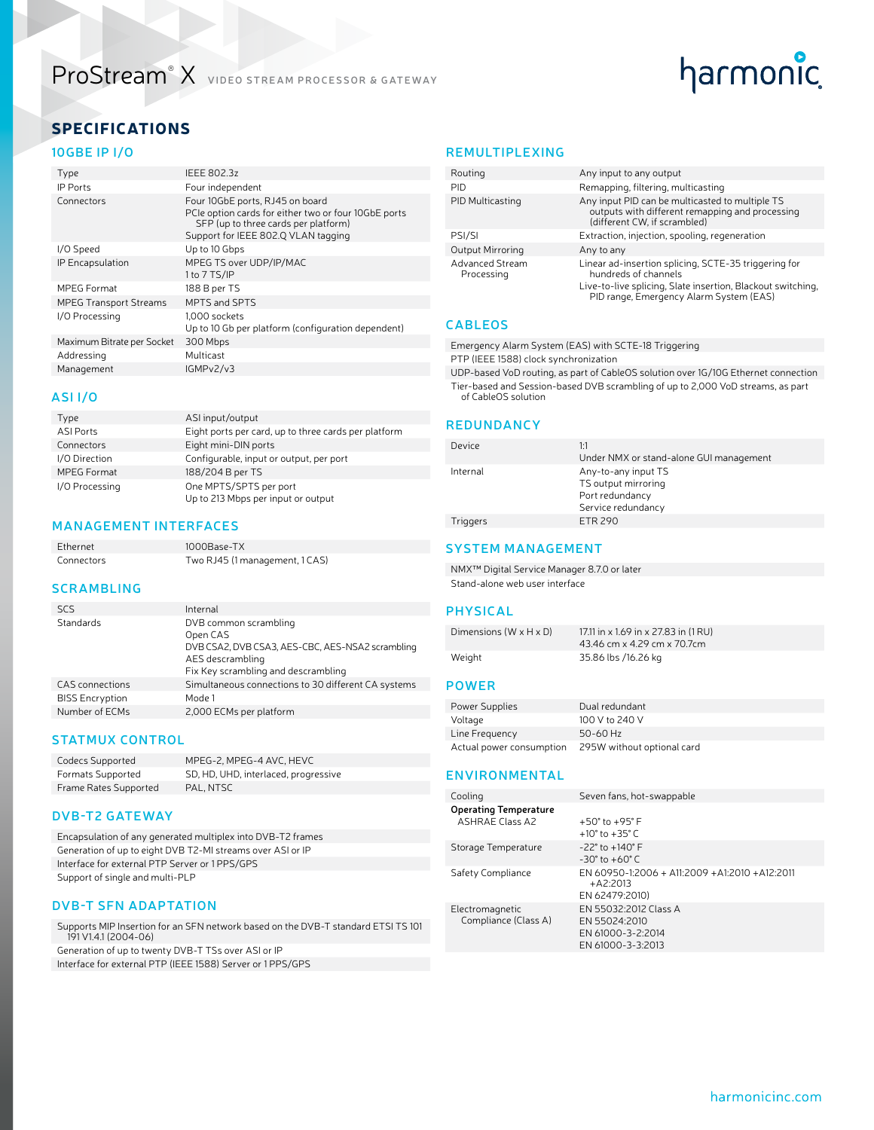### ProStream® X **VIDEO STREAM PROCESSOR & GATEWAY**

# harmonic

### SPECIFICATIONS

#### **10GBE IP I/O**

| Type                          | <b>IEEE 802.3z</b>                                                                                                                                                     |
|-------------------------------|------------------------------------------------------------------------------------------------------------------------------------------------------------------------|
| <b>IP Ports</b>               | Four independent                                                                                                                                                       |
| Connectors                    | Four 10GbE ports, RJ45 on board<br>PCIe option cards for either two or four 10GbE ports<br>SFP (up to three cards per platform)<br>Support for IEEE 802.Q VLAN tagging |
| I/O Speed                     | Up to 10 Gbps                                                                                                                                                          |
| IP Encapsulation              | MPEG TS over UDP/IP/MAC<br>1 to 7 TS/IP                                                                                                                                |
| MPEG Format                   | 188 B per TS                                                                                                                                                           |
| <b>MPEG Transport Streams</b> | MPTS and SPTS                                                                                                                                                          |
| I/O Processing                | 1.000 sockets<br>Up to 10 Gb per platform (configuration dependent)                                                                                                    |
| Maximum Bitrate per Socket    | 300 Mbps                                                                                                                                                               |
| Addressing                    | Multicast                                                                                                                                                              |
| Management                    | IGMPv2/v3                                                                                                                                                              |

#### **ASI I/O**

| Type               | ASI input/output                                     |
|--------------------|------------------------------------------------------|
| <b>ASI Ports</b>   | Eight ports per card, up to three cards per platform |
| Connectors         | Eight mini-DIN ports                                 |
| I/O Direction      | Configurable, input or output, per port              |
| <b>MPEG Format</b> | 188/204 B per TS                                     |
| I/O Processing     | One MPTS/SPTS per port                               |
|                    | Up to 213 Mbps per input or output                   |

#### **MANAGEMENT INTERFACES**

Ethernet 1000Base-TX Connectors Two RJ45 (1 management, 1 CAS)

#### **SCRAMBLING**

| <b>SCS</b>             | Internal                                                                                                                                         |
|------------------------|--------------------------------------------------------------------------------------------------------------------------------------------------|
| Standards              | DVB common scrambling<br>Open CAS<br>DVB CSA2, DVB CSA3, AES-CBC, AES-NSA2 scrambling<br>AES descrambling<br>Fix Key scrambling and descrambling |
| <b>CAS</b> connections | Simultaneous connections to 30 different CA systems                                                                                              |
| <b>BISS Encryption</b> | Mode 1                                                                                                                                           |
| Number of ECMs         | 2,000 ECMs per platform                                                                                                                          |

#### **STATMUX CONTROL**

| Codecs Supported         | MPEG-2, MPEG-4 AVC, HEVC             |
|--------------------------|--------------------------------------|
| <b>Formats Supported</b> | SD, HD, UHD, interlaced, progressive |
| Frame Rates Supported    | PAL, NTSC                            |

#### **DVB-T2 GATEWAY**

Encapsulation of any generated multiplex into DVB-T2 frames Generation of up to eight DVB T2-MI streams over ASI or IP Interface for external PTP Server or 1 PPS/GPS Support of single and multi-PLP

#### **DVB-T SFN ADAPTATION**

Supports MIP Insertion for an SFN network based on the DVB-T standard ETSI TS 101 191 V1.4.1 (2004-06) Generation of up to twenty DVB-T TSs over ASI or IP

Interface for external PTP (IEEE 1588) Server or 1 PPS/GPS

#### **REMULTIPLEXING**

| Routing                       | Any input to any output                                                                                                                                                                |
|-------------------------------|----------------------------------------------------------------------------------------------------------------------------------------------------------------------------------------|
| PID                           | Remapping, filtering, multicasting                                                                                                                                                     |
| PID Multicasting              | Any input PID can be multicasted to multiple TS<br>outputs with different remapping and processing<br>(different CW, if scrambled)                                                     |
| PSI/SI                        | Extraction, injection, spooling, regeneration                                                                                                                                          |
| Output Mirroring              | Any to any                                                                                                                                                                             |
| Advanced Stream<br>Processing | Linear ad-insertion splicing, SCTE-35 triggering for<br>hundreds of channels<br>Live-to-live splicing, Slate insertion, Blackout switching,<br>PID range, Emergency Alarm System (EAS) |
|                               |                                                                                                                                                                                        |

#### **CABLEOS**

Emergency Alarm System (EAS) with SCTE-18 Triggering

PTP (IEEE 1588) clock synchronization

UDP-based VoD routing, as part of CableOS solution over 1G/10G Ethernet connection Tier-based and Session-based DVB scrambling of up to 2,000 VoD streams, as part of CableOS solution

#### **REDUNDANCY**

| Device          | 1:1<br>Under NMX or stand-alone GUI management                                      |
|-----------------|-------------------------------------------------------------------------------------|
| Internal        | Any-to-any input TS<br>TS output mirroring<br>Port redundancy<br>Service redundancy |
| <b>Triggers</b> | ETR 290                                                                             |
|                 |                                                                                     |

#### **SYSTEM MANAGEMENT**

NMX™ Digital Service Manager 8.7.0 or later Stand-alone web user interface

#### **PHYSICAL**

| Dimensions $(W \times H \times D)$ | 17.11 in x 1.69 in x 27.83 in (1 RU)<br>43.46 cm x 4.29 cm x 70.7cm |
|------------------------------------|---------------------------------------------------------------------|
| Weight                             | 35.86 lbs /16.26 kg                                                 |

#### **POWER**

| Power Supplies | Dual redundant                                      |
|----------------|-----------------------------------------------------|
| Voltage        | 100 V to 240 V                                      |
| Line Frequency | $50-60$ Hz                                          |
|                | Actual power consumption 295W without optional card |

#### **ENVIRONMENTAL**

| Cooling                                                | Seven fans, hot-swappable                                                        |
|--------------------------------------------------------|----------------------------------------------------------------------------------|
| <b>Operating Temperature</b><br><b>ASHRAE Class A2</b> | $+50^{\circ}$ to $+95^{\circ}$ F<br>$+10^{\circ}$ to $+35^{\circ}$ C             |
| Storage Temperature                                    | $-22^{\circ}$ to $+140^{\circ}$ F<br>$-30^{\circ}$ to $+60^{\circ}$ C.           |
| Safety Compliance                                      | EN 60950-1:2006 + A11:2009 + A1:2010 + A12:2011<br>$+ A2:2013$<br>EN 62479:2010) |
| Electromagnetic<br>Compliance (Class A)                | EN 55032:2012 Class A<br>EN 55024:2010<br>EN 61000-3-2:2014<br>EN 61000-3-3:2013 |